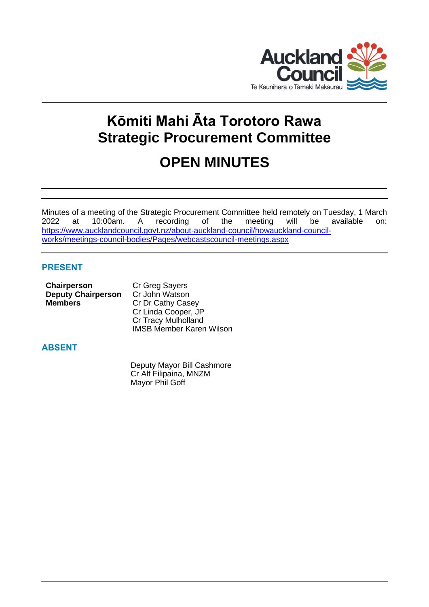

# **Kōmiti Mahi Āta Torotoro Rawa Strategic Procurement Committee**

## **OPEN MINUTES**

Minutes of a meeting of the Strategic Procurement Committee held remotely on Tuesday, 1 March 2022 at 10:00am. A recording of the meeting will be available on: [https://www.aucklandcouncil.govt.nz/about-auckland-council/howauckland-council](https://www.aucklandcouncil.govt.nz/about-auckland-council/howauckland-council-works/meetings-council-bodies/Pages/webcastscouncil-meetings.aspx)[works/meetings-council-bodies/Pages/webcastscouncil-meetings.aspx](https://www.aucklandcouncil.govt.nz/about-auckland-council/howauckland-council-works/meetings-council-bodies/Pages/webcastscouncil-meetings.aspx)

## **PRESENT**

| <b>Chairperson</b>        | Cr Greg Sayers             |  |  |
|---------------------------|----------------------------|--|--|
| <b>Deputy Chairperson</b> | Cr John Watson             |  |  |
| <b>Members</b>            | Cr Dr Cathy Casey          |  |  |
|                           | Cr Linda Cooper, JP        |  |  |
|                           | <b>Cr Tracy Mulholland</b> |  |  |

## **ABSENT**

Deputy Mayor Bill Cashmore Cr Alf Filipaina, MNZM Mayor Phil Goff

IMSB Member Karen Wilson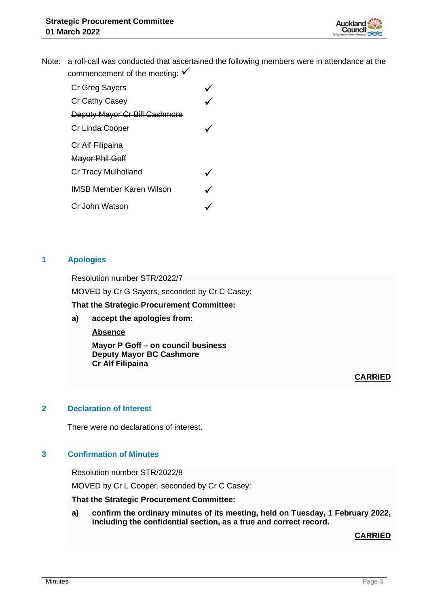

Note: a roll-call was conducted that ascertained the following members were in attendance at the commencement of the meeting:  $√$ 

| Cr Greg Sayers                  |  |
|---------------------------------|--|
| Cr Cathy Casey                  |  |
| Deputy Mayor Cr Bill Cashmore   |  |
| Cr Linda Cooper                 |  |
| Cr Alf Filipaina                |  |
| Mayor Phil Goff                 |  |
| <b>Cr Tracy Mulholland</b>      |  |
| <b>IMSB Member Karen Wilson</b> |  |
| Cr John Watson                  |  |
|                                 |  |

### **1 Apologies**

Resolution number STR/2022/7 MOVED by Cr G Sayers, seconded by Cr C Casey: **That the Strategic Procurement Committee:**

**a) accept the apologies from:**

**Absence**

**Mayor P Goff – on council business Deputy Mayor BC Cashmore Cr Alf Filipaina**

**CARRIED**

## **2 Declaration of Interest**

There were no declarations of interest.

## **3 Confirmation of Minutes**

Resolution number STR/2022/8 MOVED by Cr L Cooper, seconded by Cr C Casey:

**That the Strategic Procurement Committee:**

**a) confirm the ordinary minutes of its meeting, held on Tuesday, 1 February 2022, including the confidential section, as a true and correct record.**

**CARRIED**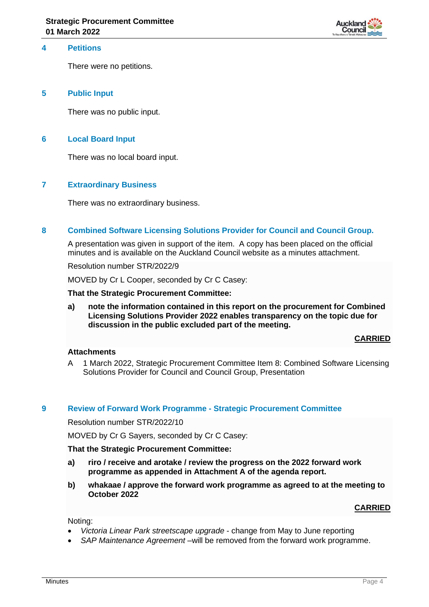

## **4 Petitions**

There were no petitions.

#### **5 Public Input**

There was no public input.

#### **6 Local Board Input**

There was no local board input.

#### **7 Extraordinary Business**

There was no extraordinary business.

#### **8 Combined Software Licensing Solutions Provider for Council and Council Group.**

A presentation was given in support of the item. A copy has been placed on the official minutes and is available on the Auckland Council website as a minutes attachment.

Resolution number STR/2022/9

MOVED by Cr L Cooper, seconded by Cr C Casey:

#### **That the Strategic Procurement Committee:**

**a) note the information contained in this report on the procurement for Combined Licensing Solutions Provider 2022 enables transparency on the topic due for discussion in the public excluded part of the meeting.**

#### **CARRIED**

#### **Attachments**

A 1 March 2022, Strategic Procurement Committee Item 8: Combined Software Licensing Solutions Provider for Council and Council Group, Presentation

#### **9 Review of Forward Work Programme - Strategic Procurement Committee**

Resolution number STR/2022/10

MOVED by Cr G Sayers, seconded by Cr C Casey:

#### **That the Strategic Procurement Committee:**

- **a) riro / receive and arotake / review the progress on the 2022 forward work programme as appended in Attachment A of the agenda report.**
- **b) whakaae / approve the forward work programme as agreed to at the meeting to October 2022**

#### **CARRIED**

Noting:

- *Victoria Linear Park streetscape upgrade* change from May to June reporting
- *SAP Maintenance Agreement* –will be removed from the forward work programme.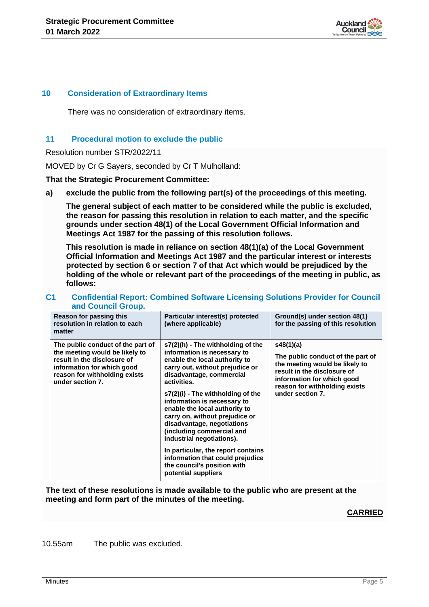

#### **10 Consideration of Extraordinary Items**

There was no consideration of extraordinary items.

#### **11 Procedural motion to exclude the public**

Resolution number STR/2022/11

MOVED by Cr G Sayers, seconded by Cr T Mulholland:

**That the Strategic Procurement Committee:**

**a) exclude the public from the following part(s) of the proceedings of this meeting.**

**The general subject of each matter to be considered while the public is excluded, the reason for passing this resolution in relation to each matter, and the specific grounds under section 48(1) of the Local Government Official Information and Meetings Act 1987 for the passing of this resolution follows.**

**This resolution is made in reliance on section 48(1)(a) of the Local Government Official Information and Meetings Act 1987 and the particular interest or interests protected by section 6 or section 7 of that Act which would be prejudiced by the holding of the whole or relevant part of the proceedings of the meeting in public, as follows:**

| Reason for passing this<br>resolution in relation to each<br>matter                                                                                                                   | Particular interest(s) protected<br>(where applicable)                                                                                                                                                                                                                                                                                                                                                                                                                                                                                         | Ground(s) under section 48(1)<br>for the passing of this resolution                                                                                                                                |  |
|---------------------------------------------------------------------------------------------------------------------------------------------------------------------------------------|------------------------------------------------------------------------------------------------------------------------------------------------------------------------------------------------------------------------------------------------------------------------------------------------------------------------------------------------------------------------------------------------------------------------------------------------------------------------------------------------------------------------------------------------|----------------------------------------------------------------------------------------------------------------------------------------------------------------------------------------------------|--|
| The public conduct of the part of<br>the meeting would be likely to<br>result in the disclosure of<br>information for which good<br>reason for withholding exists<br>under section 7. | s7(2)(h) - The withholding of the<br>information is necessary to<br>enable the local authority to<br>carry out, without prejudice or<br>disadvantage, commercial<br>activities.<br>s7(2)(i) - The withholding of the<br>information is necessary to<br>enable the local authority to<br>carry on, without prejudice or<br>disadvantage, negotiations<br>(including commercial and<br>industrial negotiations).<br>In particular, the report contains<br>information that could prejudice<br>the council's position with<br>potential suppliers | s48(1)(a)<br>The public conduct of the part of<br>the meeting would be likely to<br>result in the disclosure of<br>information for which good<br>reason for withholding exists<br>under section 7. |  |

#### **C1 Confidential Report: Combined Software Licensing Solutions Provider for Council and Council Group.**

**The text of these resolutions is made available to the public who are present at the meeting and form part of the minutes of the meeting.**

#### **CARRIED**

10.55am The public was excluded.